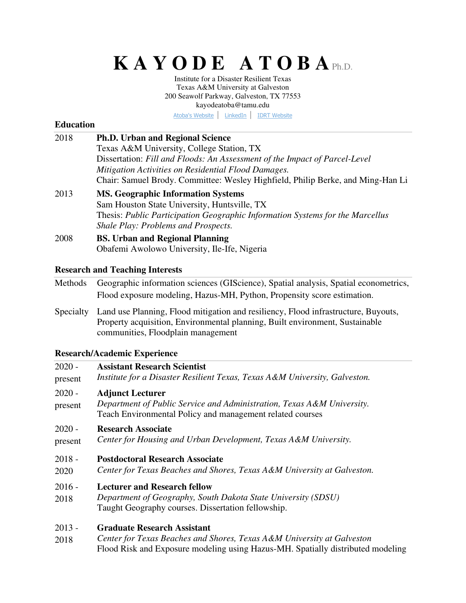# **K A Y O D E A T O B A**Ph.D.

Institute for a Disaster Resilient Texas Texas A&M University at Galveston 200 Seawolf Parkway, Galveston, TX 77553 kayodeatoba@tamu.edu

[Atoba's Website](https://kayodeatoba.wixsite.com/kayodeatoba) | [LinkedIn](https://www.linkedin.com/in/kayodeatoba/) | [IDRT Website](https://www.tamug.edu/idrt/)

# **Education**

| 2018                | <b>Ph.D. Urban and Regional Science</b><br>Texas A&M University, College Station, TX<br>Dissertation: Fill and Floods: An Assessment of the Impact of Parcel-Level<br>Mitigation Activities on Residential Flood Damages.<br>Chair: Samuel Brody. Committee: Wesley Highfield, Philip Berke, and Ming-Han Li |
|---------------------|--------------------------------------------------------------------------------------------------------------------------------------------------------------------------------------------------------------------------------------------------------------------------------------------------------------|
| 2013                | <b>MS. Geographic Information Systems</b><br>Sam Houston State University, Huntsville, TX<br>Thesis: Public Participation Geographic Information Systems for the Marcellus<br>Shale Play: Problems and Prospects.                                                                                            |
| 2008                | <b>BS. Urban and Regional Planning</b><br>Obafemi Awolowo University, Ile-Ife, Nigeria                                                                                                                                                                                                                       |
|                     | <b>Research and Teaching Interests</b>                                                                                                                                                                                                                                                                       |
| Methods             | Geographic information sciences (GIScience), Spatial analysis, Spatial econometrics,<br>Flood exposure modeling, Hazus-MH, Python, Propensity score estimation.                                                                                                                                              |
| Specialty           | Land use Planning, Flood mitigation and resiliency, Flood infrastructure, Buyouts,<br>Property acquisition, Environmental planning, Built environment, Sustainable<br>communities, Floodplain management                                                                                                     |
|                     | <b>Research/Academic Experience</b>                                                                                                                                                                                                                                                                          |
| $2020 -$<br>present | <b>Assistant Research Scientist</b><br>Institute for a Disaster Resilient Texas, Texas A&M University, Galveston.                                                                                                                                                                                            |
| $2020 -$<br>present | <b>Adjunct Lecturer</b><br>Department of Public Service and Administration, Texas A&M University.<br>Teach Environmental Policy and management related courses                                                                                                                                               |
| $2020 -$<br>present | <b>Research Associate</b><br>Center for Housing and Urban Development, Texas A&M University.                                                                                                                                                                                                                 |
| $2018 -$<br>2020    | <b>Postdoctoral Research Associate</b><br>Center for Texas Beaches and Shores, Texas A&M University at Galveston.                                                                                                                                                                                            |
| $2016 -$<br>2018    | <b>Lecturer and Research fellow</b><br>Department of Geography, South Dakota State University (SDSU)<br>Taught Geography courses. Dissertation fellowship.                                                                                                                                                   |
| $2013 -$<br>2018    | <b>Graduate Research Assistant</b><br>Center for Texas Beaches and Shores, Texas A&M University at Galveston<br>Flood Risk and Exposure modeling using Hazus-MH. Spatially distributed modeling                                                                                                              |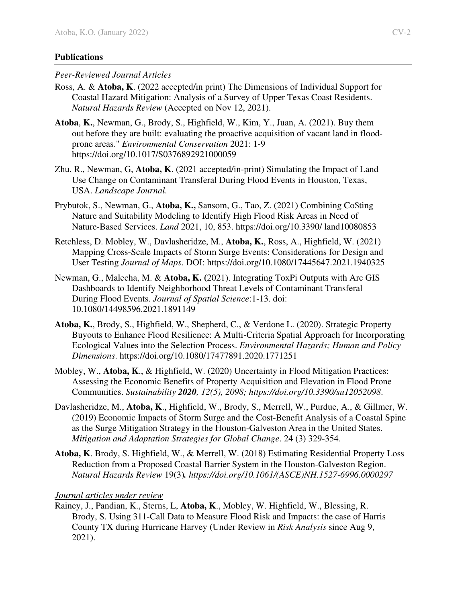# **Publications**

# *Peer-Reviewed Journal Articles*

- Ross, A. & **Atoba, K**. (2022 accepted/in print) The Dimensions of Individual Support for Coastal Hazard Mitigation: Analysis of a Survey of Upper Texas Coast Residents. *Natural Hazards Review* (Accepted on Nov 12, 2021).
- **Atoba**, **K.**, Newman, G., Brody, S., Highfield, W., Kim, Y., Juan, A. (2021). Buy them out before they are built: evaluating the proactive acquisition of vacant land in floodprone areas." *Environmental Conservation* 2021: 1-9 https://doi.org/10.1017/S0376892921000059
- Zhu, R., Newman, G, **Atoba, K**. (2021 accepted/in-print) Simulating the Impact of Land Use Change on Contaminant Transferal During Flood Events in Houston, Texas, USA. *Landscape Journal.*
- Prybutok, S., Newman, G., **Atoba, K.,** Sansom, G., Tao, Z. (2021) Combining Co\$ting Nature and Suitability Modeling to Identify High Flood Risk Areas in Need of Nature-Based Services. *Land* 2021, 10, 853. https://doi.org/10.3390/ land10080853
- Retchless, D. Mobley, W., Davlasheridze, M., **Atoba, K.**, Ross, A., Highfield, W. (2021) Mapping Cross-Scale Impacts of Storm Surge Events: Considerations for Design and User Testing *Journal of Maps*. DOI: https://doi.org/10.1080/17445647.2021.1940325
- Newman, G., Malecha, M. & **Atoba, K. (**2021). Integrating ToxPi Outputs with Arc GIS Dashboards to Identify Neighborhood Threat Levels of Contaminant Transferal During Flood Events. *Journal of Spatial Science*:1-13. doi: 10.1080/14498596.2021.1891149
- **Atoba, K.**, Brody, S., Highfield, W., Shepherd, C., & Verdone L. (2020). Strategic Property Buyouts to Enhance Flood Resilience: A Multi-Criteria Spatial Approach for Incorporating Ecological Values into the Selection Process. *Environmental Hazards; Human and Policy Dimensions*. https://doi.org/10.1080/17477891.2020.1771251
- Mobley, W., **Atoba, K**., & Highfield, W. (2020) Uncertainty in Flood Mitigation Practices: Assessing the Economic Benefits of Property Acquisition and Elevation in Flood Prone Communities. *Sustainability 2020, 12(5), 2098; https://doi.org/10.3390/su12052098*.
- Davlasheridze, M., **Atoba, K**., Highfield, W., Brody, S., Merrell, W., Purdue, A., & Gillmer, W. (2019) Economic Impacts of Storm Surge and the Cost-Benefit Analysis of a Coastal Spine as the Surge Mitigation Strategy in the Houston-Galveston Area in the United States. *Mitigation and Adaptation Strategies for Global Change*. 24 (3) 329-354.
- **Atoba, K**. Brody, S. Highfield, W., & Merrell, W. (2018) Estimating Residential Property Loss Reduction from a Proposed Coastal Barrier System in the Houston-Galveston Region. *Natural Hazards Review* 19(3)*. [https://doi.org/10.1061/\(ASCE\)NH.1527-6996.0000297](https://doi.org/10.1061/(ASCE)NH.1527-6996.0000297)*

# *Journal articles under review*

Rainey, J., Pandian, K., Sterns, L, **Atoba, K**., Mobley, W. Highfield, W., Blessing, R. Brody, S. Using 311-Call Data to Measure Flood Risk and Impacts: the case of Harris County TX during Hurricane Harvey (Under Review in *Risk Analysis* since Aug 9, 2021).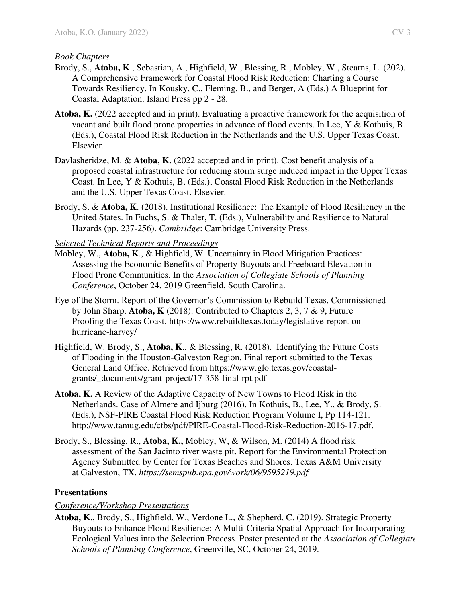## *Book Chapters*

- Brody, S., **Atoba, K**., Sebastian, A., Highfield, W., Blessing, R., Mobley, W., Stearns, L. (202). A Comprehensive Framework for Coastal Flood Risk Reduction: Charting a Course Towards Resiliency. In Kousky, C., Fleming, B., and Berger, A (Eds.) A Blueprint for Coastal Adaptation. Island Press pp 2 - 28.
- **Atoba, K.** (2022 accepted and in print). Evaluating a proactive framework for the acquisition of vacant and built flood prone properties in advance of flood events. In Lee, Y & Kothuis, B. (Eds.), Coastal Flood Risk Reduction in the Netherlands and the U.S. Upper Texas Coast. Elsevier.
- Davlasheridze, M. & **Atoba, K.** (2022 accepted and in print). Cost benefit analysis of a proposed coastal infrastructure for reducing storm surge induced impact in the Upper Texas Coast. In Lee, Y & Kothuis, B. (Eds.), Coastal Flood Risk Reduction in the Netherlands and the U.S. Upper Texas Coast. Elsevier.
- Brody, S. & **Atoba, K**. (2018). Institutional Resilience: The Example of Flood Resiliency in the United States. In Fuchs, S. & Thaler, T. (Eds.), Vulnerability and Resilience to Natural Hazards (pp. 237-256). *Cambridge*: Cambridge University Press.

## *Selected Technical Reports and Proceedings*

- Mobley, W., **Atoba, K**., & Highfield, W. Uncertainty in Flood Mitigation Practices: Assessing the Economic Benefits of Property Buyouts and Freeboard Elevation in Flood Prone Communities. In the *Association of Collegiate Schools of Planning Conference*, October 24, 2019 Greenfield, South Carolina.
- Eye of the Storm. Report of the Governor's Commission to Rebuild Texas. Commissioned by John Sharp. **Atoba, K** (2018): Contributed to Chapters 2, 3, 7 & 9, Future Proofing the Texas Coast. [https://www.rebuildtexas.today/legislative-report-on](https://www.rebuildtexas.today/legislative-report-on-hurricane-harvey/)[hurricane-harvey/](https://www.rebuildtexas.today/legislative-report-on-hurricane-harvey/)
- Highfield, W. Brody, S., **Atoba, K**., & Blessing, R. (2018). Identifying the Future Costs of Flooding in the Houston-Galveston Region. Final report submitted to the Texas General Land Office. Retrieved from https://www.glo.texas.gov/coastalgrants/\_documents/grant-project/17-358-final-rpt.pdf
- **Atoba, K.** A Review of the Adaptive Capacity of New Towns to Flood Risk in the Netherlands. Case of Almere and Ijburg (2016). In Kothuis, B., Lee, Y., & Brody, S. (Eds.), NSF-PIRE Coastal Flood Risk Reduction Program Volume I, Pp 114-121. http://www.tamug.edu/ctbs/pdf/PIRE-Coastal-Flood-Risk-Reduction-2016-17.pdf.
- Brody, S., Blessing, R., **Atoba, K.,** Mobley, W, & Wilson, M. (2014) A flood risk assessment of the San Jacinto river waste pit. Report for the Environmental Protection Agency Submitted by Center for Texas Beaches and Shores. Texas A&M University at Galveston, TX. *https://semspub.epa.gov/work/06/9595219.pdf*

### **Presentations**

### *Conference/Workshop Presentations*

**Atoba, K**., Brody, S., Highfield, W., Verdone L., & Shepherd, C. (2019). Strategic Property Buyouts to Enhance Flood Resilience: A Multi-Criteria Spatial Approach for Incorporating Ecological Values into the Selection Process. Poster presented at the *Association of Collegiate Schools of Planning Conference*, Greenville, SC, October 24, 2019.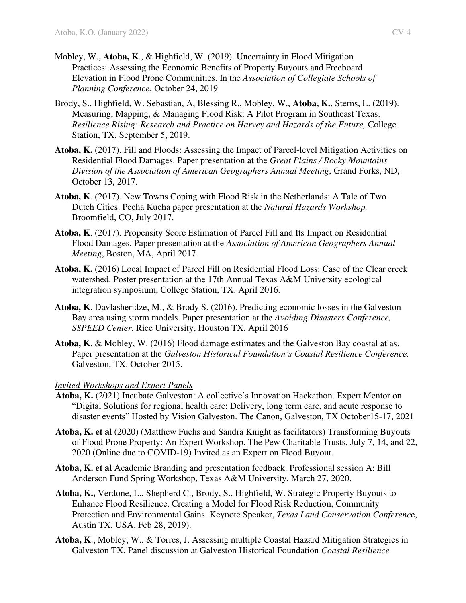- Mobley, W., **Atoba, K**., & Highfield, W. (2019). Uncertainty in Flood Mitigation Practices: Assessing the Economic Benefits of Property Buyouts and Freeboard Elevation in Flood Prone Communities. In the *Association of Collegiate Schools of Planning Conference*, October 24, 2019
- Brody, S., Highfield, W. Sebastian, A, Blessing R., Mobley, W., **Atoba, K.**, Sterns, L. (2019). Measuring, Mapping, & Managing Flood Risk: A Pilot Program in Southeast Texas. *Resilience Rising: Research and Practice on Harvey and Hazards of the Future, College* Station, TX, September 5, 2019.
- **Atoba, K.** (2017). Fill and Floods: Assessing the Impact of Parcel-level Mitigation Activities on Residential Flood Damages. Paper presentation at the *Great Plains / Rocky Mountains Division of the Association of American Geographers Annual Meeting*, Grand Forks, ND, October 13, 2017.
- **Atoba, K**. (2017). New Towns Coping with Flood Risk in the Netherlands: A Tale of Two Dutch Cities. Pecha Kucha paper presentation at the *Natural Hazards Workshop,* Broomfield, CO, July 2017.
- **Atoba, K**. (2017). Propensity Score Estimation of Parcel Fill and Its Impact on Residential Flood Damages. Paper presentation at the *Association of American Geographers Annual Meeting*, Boston, MA, April 2017.
- **Atoba, K.** (2016) Local Impact of Parcel Fill on Residential Flood Loss: Case of the Clear creek watershed. Poster presentation at the 17th Annual Texas A&M University ecological integration symposium, College Station, TX. April 2016.
- **Atoba, K**. Davlasheridze, M., & Brody S. (2016). Predicting economic losses in the Galveston Bay area using storm models. Paper presentation at the *Avoiding Disasters Conference, SSPEED Center*, Rice University, Houston TX. April 2016
- **Atoba, K**. & Mobley, W. (2016) Flood damage estimates and the Galveston Bay coastal atlas. Paper presentation at the *Galveston Historical Foundation's Coastal Resilience Conference.* Galveston, TX. October 2015.

#### *Invited Workshops and Expert Panels*

- **Atoba, K.** (2021) Incubate Galveston: A collective's Innovation Hackathon. Expert Mentor on "Digital Solutions for regional health care: Delivery, long term care, and acute response to disaster events" Hosted by Vision Galveston. The Canon, Galveston, TX October15-17, 2021
- **Atoba, K. et al** (2020) (Matthew Fuchs and Sandra Knight as facilitators) Transforming Buyouts of Flood Prone Property: An Expert Workshop. The Pew Charitable Trusts, July 7, 14, and 22, 2020 (Online due to COVID-19) Invited as an Expert on Flood Buyout.
- **Atoba, K. et al** Academic Branding and presentation feedback. Professional session A: Bill Anderson Fund Spring Workshop, Texas A&M University, March 27, 2020.
- **Atoba, K.,** Verdone, L., Shepherd C., Brody, S., Highfield, W. Strategic Property Buyouts to Enhance Flood Resilience. Creating a Model for Flood Risk Reduction, Community Protection and Environmental Gains. Keynote Speaker, *Texas Land Conservation Conferenc*e, Austin TX, USA. Feb 28, 2019).
- **Atoba, K**., Mobley, W., & Torres, J. Assessing multiple Coastal Hazard Mitigation Strategies in Galveston TX. Panel discussion at Galveston Historical Foundation *Coastal Resilience*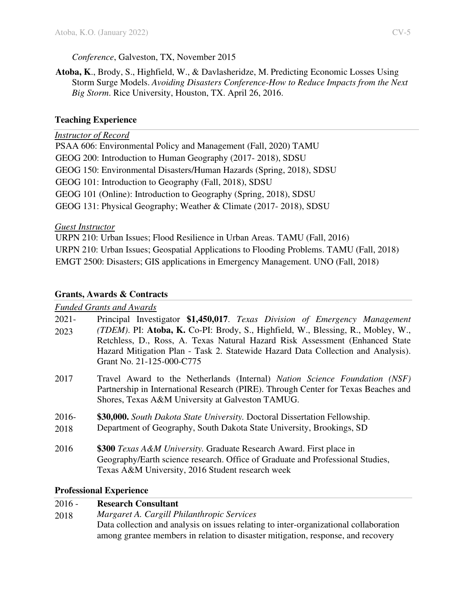# *Conference*, Galveston, TX, November 2015

**Atoba, K**., Brody, S., Highfield, W., & Davlasheridze, M. Predicting Economic Losses Using Storm Surge Models. *Avoiding Disasters Conference-How to Reduce Impacts from the Next Big Storm*. Rice University, Houston, TX. April 26, 2016.

# **Teaching Experience**

### *Instructor of Record*

PSAA 606: Environmental Policy and Management (Fall, 2020) TAMU GEOG 200: Introduction to Human Geography (2017- 2018), SDSU GEOG 150: Environmental Disasters/Human Hazards (Spring, 2018), SDSU GEOG 101: Introduction to Geography (Fall, 2018), SDSU GEOG 101 (Online): Introduction to Geography (Spring, 2018), SDSU GEOG 131: Physical Geography; Weather & Climate (2017- 2018), SDSU

### *Guest Instructor*

URPN 210: Urban Issues; Flood Resilience in Urban Areas. TAMU (Fall, 2016) URPN 210: Urban Issues; Geospatial Applications to Flooding Problems. TAMU (Fall, 2018) EMGT 2500: Disasters; GIS applications in Emergency Management. UNO (Fall, 2018)

## **Grants, Awards & Contracts**

### *Funded Grants and Awards*

| $2021 -$<br>2023 | Principal Investigator \$1,450,017. Texas Division of Emergency Management<br><i>(TDEM)</i> . PI: Atoba, K. Co-PI: Brody, S., Highfield, W., Blessing, R., Mobley, W.,<br>Retchless, D., Ross, A. Texas Natural Hazard Risk Assessment (Enhanced State<br>Hazard Mitigation Plan - Task 2. Statewide Hazard Data Collection and Analysis).<br>Grant No. 21-125-000-C775 |
|------------------|-------------------------------------------------------------------------------------------------------------------------------------------------------------------------------------------------------------------------------------------------------------------------------------------------------------------------------------------------------------------------|
| 2017             | Travel Award to the Netherlands (Internal) Nation Science Foundation (NSF)<br>Partnership in International Research (PIRE). Through Center for Texas Beaches and<br>Shores, Texas A&M University at Galveston TAMUG.                                                                                                                                                    |
| $2016-$<br>2018  | \$30,000. South Dakota State University. Doctoral Dissertation Fellowship.<br>Department of Geography, South Dakota State University, Brookings, SD                                                                                                                                                                                                                     |
| 2016             | \$300 Texas A&M University. Graduate Research Award. First place in<br>Geography/Earth science research. Office of Graduate and Professional Studies,<br>Texas A&M University, 2016 Student research week                                                                                                                                                               |

### **Professional Experience**

| $2016 -$ | <b>Research Consultant</b>                                                            |
|----------|---------------------------------------------------------------------------------------|
| 2018     | Margaret A. Cargill Philanthropic Services                                            |
|          | Data collection and analysis on issues relating to inter-organizational collaboration |
|          | among grantee members in relation to disaster mitigation, response, and recovery      |